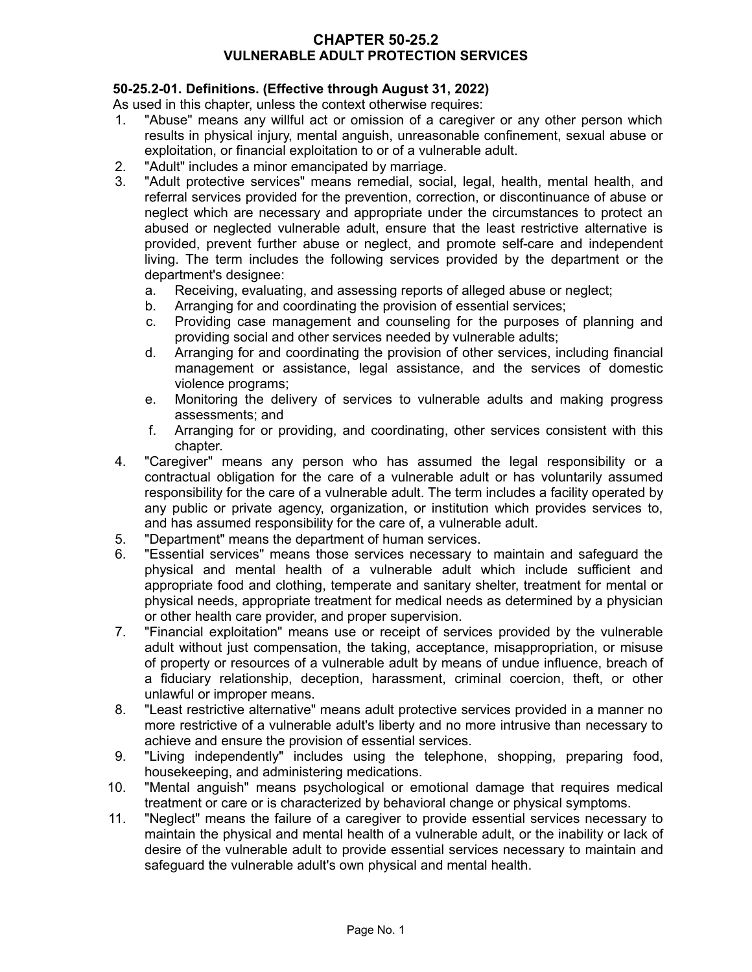## **CHAPTER 50-25.2 VULNERABLE ADULT PROTECTION SERVICES**

# **50-25.2-01. Definitions. (Effective through August 31, 2022)**

As used in this chapter, unless the context otherwise requires:

- 1. "Abuse" means any willful act or omission of a caregiver or any other person which results in physical injury, mental anguish, unreasonable confinement, sexual abuse or exploitation, or financial exploitation to or of a vulnerable adult.
- 2. "Adult" includes a minor emancipated by marriage.
- 3. "Adult protective services" means remedial, social, legal, health, mental health, and referral services provided for the prevention, correction, or discontinuance of abuse or neglect which are necessary and appropriate under the circumstances to protect an abused or neglected vulnerable adult, ensure that the least restrictive alternative is provided, prevent further abuse or neglect, and promote self-care and independent living. The term includes the following services provided by the department or the department's designee:
	- a. Receiving, evaluating, and assessing reports of alleged abuse or neglect;
	- b. Arranging for and coordinating the provision of essential services;
	- c. Providing case management and counseling for the purposes of planning and providing social and other services needed by vulnerable adults;
	- d. Arranging for and coordinating the provision of other services, including financial management or assistance, legal assistance, and the services of domestic violence programs;
	- e. Monitoring the delivery of services to vulnerable adults and making progress assessments; and
	- f. Arranging for or providing, and coordinating, other services consistent with this chapter.
- 4. "Caregiver" means any person who has assumed the legal responsibility or a contractual obligation for the care of a vulnerable adult or has voluntarily assumed responsibility for the care of a vulnerable adult. The term includes a facility operated by any public or private agency, organization, or institution which provides services to, and has assumed responsibility for the care of, a vulnerable adult.
- 5. "Department" means the department of human services.
- 6. "Essential services" means those services necessary to maintain and safeguard the physical and mental health of a vulnerable adult which include sufficient and appropriate food and clothing, temperate and sanitary shelter, treatment for mental or physical needs, appropriate treatment for medical needs as determined by a physician or other health care provider, and proper supervision.
- 7. "Financial exploitation" means use or receipt of services provided by the vulnerable adult without just compensation, the taking, acceptance, misappropriation, or misuse of property or resources of a vulnerable adult by means of undue influence, breach of a fiduciary relationship, deception, harassment, criminal coercion, theft, or other unlawful or improper means.
- 8. "Least restrictive alternative" means adult protective services provided in a manner no more restrictive of a vulnerable adult's liberty and no more intrusive than necessary to achieve and ensure the provision of essential services.
- 9. "Living independently" includes using the telephone, shopping, preparing food, housekeeping, and administering medications.
- 10. "Mental anguish" means psychological or emotional damage that requires medical treatment or care or is characterized by behavioral change or physical symptoms.
- 11. "Neglect" means the failure of a caregiver to provide essential services necessary to maintain the physical and mental health of a vulnerable adult, or the inability or lack of desire of the vulnerable adult to provide essential services necessary to maintain and safeguard the vulnerable adult's own physical and mental health.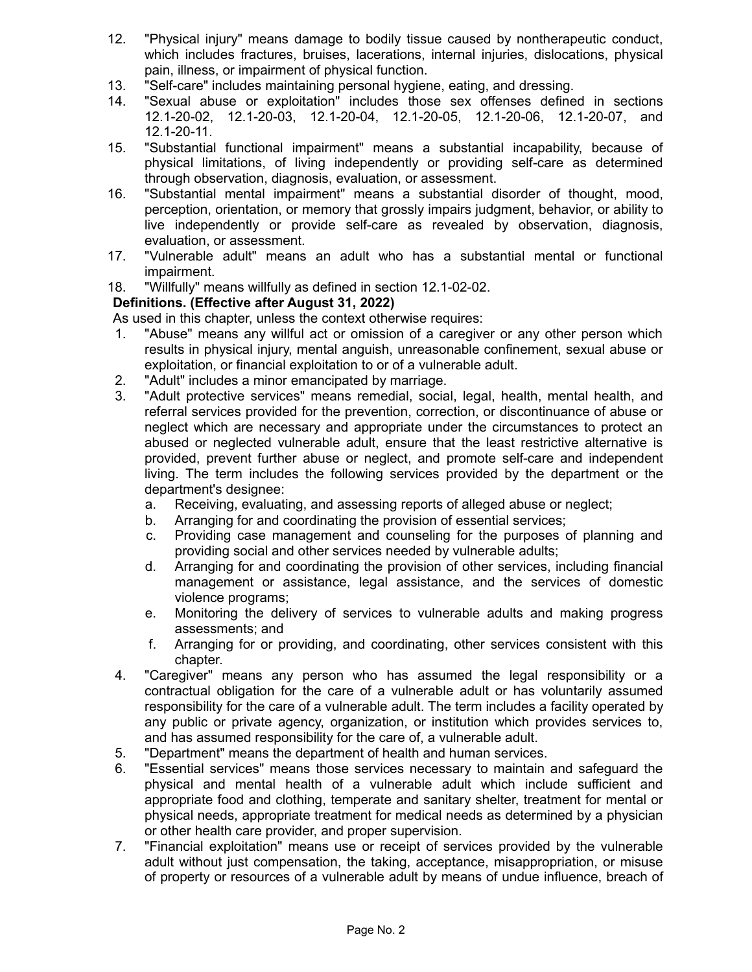- 12. "Physical injury" means damage to bodily tissue caused by nontherapeutic conduct, which includes fractures, bruises, lacerations, internal injuries, dislocations, physical pain, illness, or impairment of physical function.
- 13. "Self-care" includes maintaining personal hygiene, eating, and dressing.
- 14. "Sexual abuse or exploitation" includes those sex offenses defined in sections 12.1-20-02, 12.1-20-03, 12.1-20-04, 12.1-20-05, 12.1-20-06, 12.1-20-07, and 12.1-20-11.
- 15. "Substantial functional impairment" means a substantial incapability, because of physical limitations, of living independently or providing self-care as determined through observation, diagnosis, evaluation, or assessment.
- 16. "Substantial mental impairment" means a substantial disorder of thought, mood, perception, orientation, or memory that grossly impairs judgment, behavior, or ability to live independently or provide self-care as revealed by observation, diagnosis, evaluation, or assessment.
- 17. "Vulnerable adult" means an adult who has a substantial mental or functional impairment.
- 18. "Willfully" means willfully as defined in section 12.1-02-02.

# **Definitions. (Effective after August 31, 2022)**

As used in this chapter, unless the context otherwise requires:

- 1. "Abuse" means any willful act or omission of a caregiver or any other person which results in physical injury, mental anguish, unreasonable confinement, sexual abuse or exploitation, or financial exploitation to or of a vulnerable adult.
- 2. "Adult" includes a minor emancipated by marriage.
- 3. "Adult protective services" means remedial, social, legal, health, mental health, and referral services provided for the prevention, correction, or discontinuance of abuse or neglect which are necessary and appropriate under the circumstances to protect an abused or neglected vulnerable adult, ensure that the least restrictive alternative is provided, prevent further abuse or neglect, and promote self-care and independent living. The term includes the following services provided by the department or the department's designee:
	- a. Receiving, evaluating, and assessing reports of alleged abuse or neglect;
	- b. Arranging for and coordinating the provision of essential services;
	- c. Providing case management and counseling for the purposes of planning and providing social and other services needed by vulnerable adults;
	- d. Arranging for and coordinating the provision of other services, including financial management or assistance, legal assistance, and the services of domestic violence programs;
	- e. Monitoring the delivery of services to vulnerable adults and making progress assessments; and
	- f. Arranging for or providing, and coordinating, other services consistent with this chapter.
- 4. "Caregiver" means any person who has assumed the legal responsibility or a contractual obligation for the care of a vulnerable adult or has voluntarily assumed responsibility for the care of a vulnerable adult. The term includes a facility operated by any public or private agency, organization, or institution which provides services to, and has assumed responsibility for the care of, a vulnerable adult.
- 5. "Department" means the department of health and human services.
- 6. "Essential services" means those services necessary to maintain and safeguard the physical and mental health of a vulnerable adult which include sufficient and appropriate food and clothing, temperate and sanitary shelter, treatment for mental or physical needs, appropriate treatment for medical needs as determined by a physician or other health care provider, and proper supervision.
- 7. "Financial exploitation" means use or receipt of services provided by the vulnerable adult without just compensation, the taking, acceptance, misappropriation, or misuse of property or resources of a vulnerable adult by means of undue influence, breach of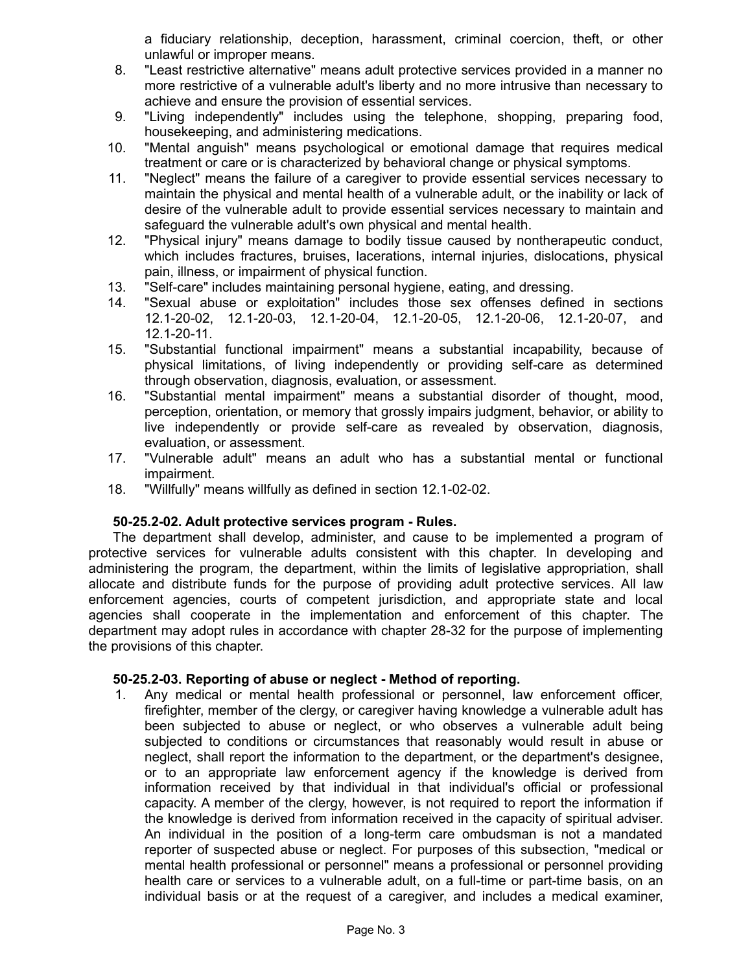a fiduciary relationship, deception, harassment, criminal coercion, theft, or other unlawful or improper means.

- 8. "Least restrictive alternative" means adult protective services provided in a manner no more restrictive of a vulnerable adult's liberty and no more intrusive than necessary to achieve and ensure the provision of essential services.
- 9. "Living independently" includes using the telephone, shopping, preparing food, housekeeping, and administering medications.
- 10. "Mental anguish" means psychological or emotional damage that requires medical treatment or care or is characterized by behavioral change or physical symptoms.
- 11. "Neglect" means the failure of a caregiver to provide essential services necessary to maintain the physical and mental health of a vulnerable adult, or the inability or lack of desire of the vulnerable adult to provide essential services necessary to maintain and safeguard the vulnerable adult's own physical and mental health.
- 12. "Physical injury" means damage to bodily tissue caused by nontherapeutic conduct, which includes fractures, bruises, lacerations, internal injuries, dislocations, physical pain, illness, or impairment of physical function.
- 13. "Self-care" includes maintaining personal hygiene, eating, and dressing.
- 14. "Sexual abuse or exploitation" includes those sex offenses defined in sections 12.1-20-02, 12.1-20-03, 12.1-20-04, 12.1-20-05, 12.1-20-06, 12.1-20-07, and 12.1-20-11.
- 15. "Substantial functional impairment" means a substantial incapability, because of physical limitations, of living independently or providing self-care as determined through observation, diagnosis, evaluation, or assessment.
- 16. "Substantial mental impairment" means a substantial disorder of thought, mood, perception, orientation, or memory that grossly impairs judgment, behavior, or ability to live independently or provide self-care as revealed by observation, diagnosis, evaluation, or assessment.
- 17. "Vulnerable adult" means an adult who has a substantial mental or functional impairment.
- 18. "Willfully" means willfully as defined in section 12.1-02-02.

# **50-25.2-02. Adult protective services program - Rules.**

The department shall develop, administer, and cause to be implemented a program of protective services for vulnerable adults consistent with this chapter. In developing and administering the program, the department, within the limits of legislative appropriation, shall allocate and distribute funds for the purpose of providing adult protective services. All law enforcement agencies, courts of competent jurisdiction, and appropriate state and local agencies shall cooperate in the implementation and enforcement of this chapter. The department may adopt rules in accordance with chapter 28-32 for the purpose of implementing the provisions of this chapter.

### **50-25.2-03. Reporting of abuse or neglect - Method of reporting.**

1. Any medical or mental health professional or personnel, law enforcement officer, firefighter, member of the clergy, or caregiver having knowledge a vulnerable adult has been subjected to abuse or neglect, or who observes a vulnerable adult being subjected to conditions or circumstances that reasonably would result in abuse or neglect, shall report the information to the department, or the department's designee, or to an appropriate law enforcement agency if the knowledge is derived from information received by that individual in that individual's official or professional capacity. A member of the clergy, however, is not required to report the information if the knowledge is derived from information received in the capacity of spiritual adviser. An individual in the position of a long-term care ombudsman is not a mandated reporter of suspected abuse or neglect. For purposes of this subsection, "medical or mental health professional or personnel" means a professional or personnel providing health care or services to a vulnerable adult, on a full-time or part-time basis, on an individual basis or at the request of a caregiver, and includes a medical examiner,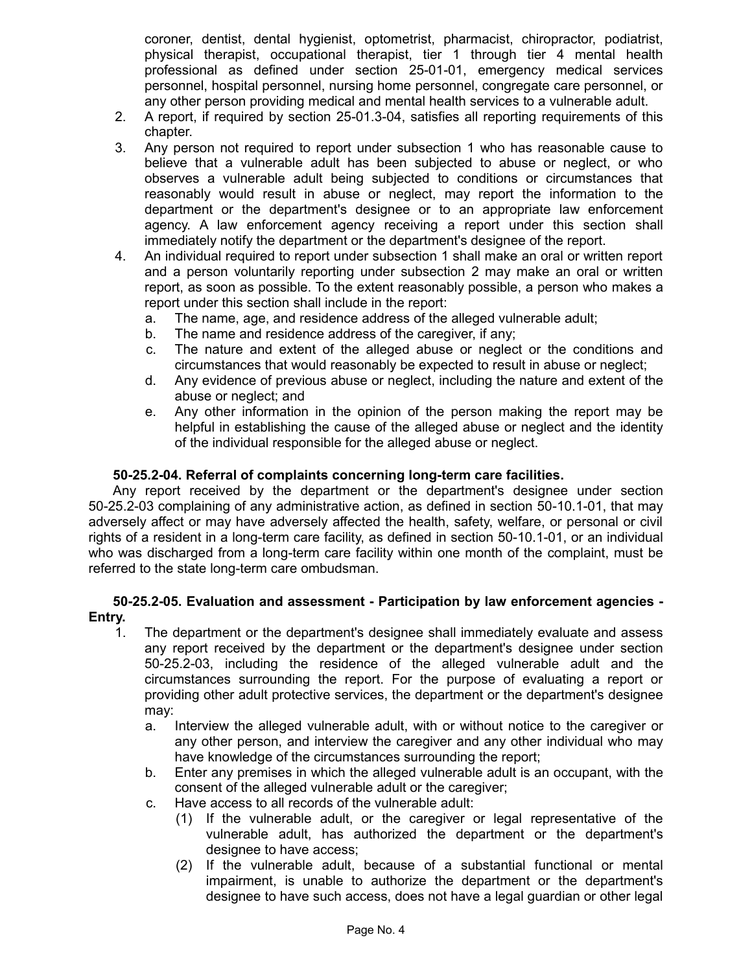coroner, dentist, dental hygienist, optometrist, pharmacist, chiropractor, podiatrist, physical therapist, occupational therapist, tier 1 through tier 4 mental health professional as defined under section 25-01-01, emergency medical services personnel, hospital personnel, nursing home personnel, congregate care personnel, or any other person providing medical and mental health services to a vulnerable adult.

- 2. A report, if required by section 25-01.3-04, satisfies all reporting requirements of this chapter.
- 3. Any person not required to report under subsection 1 who has reasonable cause to believe that a vulnerable adult has been subjected to abuse or neglect, or who observes a vulnerable adult being subjected to conditions or circumstances that reasonably would result in abuse or neglect, may report the information to the department or the department's designee or to an appropriate law enforcement agency. A law enforcement agency receiving a report under this section shall immediately notify the department or the department's designee of the report.
- 4. An individual required to report under subsection 1 shall make an oral or written report and a person voluntarily reporting under subsection 2 may make an oral or written report, as soon as possible. To the extent reasonably possible, a person who makes a report under this section shall include in the report:
	- a. The name, age, and residence address of the alleged vulnerable adult;
	- b. The name and residence address of the caregiver, if any;
	- c. The nature and extent of the alleged abuse or neglect or the conditions and circumstances that would reasonably be expected to result in abuse or neglect;
	- d. Any evidence of previous abuse or neglect, including the nature and extent of the abuse or neglect; and
	- e. Any other information in the opinion of the person making the report may be helpful in establishing the cause of the alleged abuse or neglect and the identity of the individual responsible for the alleged abuse or neglect.

## **50-25.2-04. Referral of complaints concerning long-term care facilities.**

Any report received by the department or the department's designee under section 50-25.2-03 complaining of any administrative action, as defined in section 50-10.1-01, that may adversely affect or may have adversely affected the health, safety, welfare, or personal or civil rights of a resident in a long-term care facility, as defined in section 50-10.1-01, or an individual who was discharged from a long-term care facility within one month of the complaint, must be referred to the state long-term care ombudsman.

## **50-25.2-05. Evaluation and assessment - Participation by law enforcement agencies - Entry.**

- 1. The department or the department's designee shall immediately evaluate and assess any report received by the department or the department's designee under section 50-25.2-03, including the residence of the alleged vulnerable adult and the circumstances surrounding the report. For the purpose of evaluating a report or providing other adult protective services, the department or the department's designee may:
	- a. Interview the alleged vulnerable adult, with or without notice to the caregiver or any other person, and interview the caregiver and any other individual who may have knowledge of the circumstances surrounding the report;
	- b. Enter any premises in which the alleged vulnerable adult is an occupant, with the consent of the alleged vulnerable adult or the caregiver;
	- c. Have access to all records of the vulnerable adult:
		- (1) If the vulnerable adult, or the caregiver or legal representative of the vulnerable adult, has authorized the department or the department's designee to have access;
		- (2) If the vulnerable adult, because of a substantial functional or mental impairment, is unable to authorize the department or the department's designee to have such access, does not have a legal guardian or other legal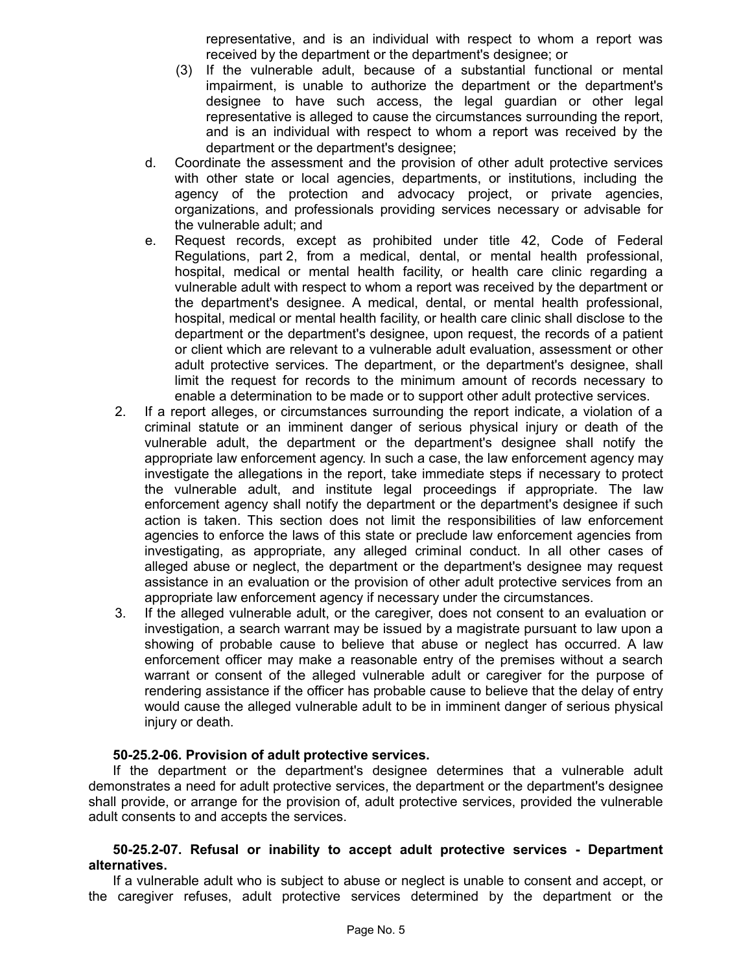representative, and is an individual with respect to whom a report was received by the department or the department's designee; or

- (3) If the vulnerable adult, because of a substantial functional or mental impairment, is unable to authorize the department or the department's designee to have such access, the legal guardian or other legal representative is alleged to cause the circumstances surrounding the report, and is an individual with respect to whom a report was received by the department or the department's designee;
- d. Coordinate the assessment and the provision of other adult protective services with other state or local agencies, departments, or institutions, including the agency of the protection and advocacy project, or private agencies, organizations, and professionals providing services necessary or advisable for the vulnerable adult; and
- e. Request records, except as prohibited under title 42, Code of Federal Regulations, part 2, from a medical, dental, or mental health professional, hospital, medical or mental health facility, or health care clinic regarding a vulnerable adult with respect to whom a report was received by the department or the department's designee. A medical, dental, or mental health professional, hospital, medical or mental health facility, or health care clinic shall disclose to the department or the department's designee, upon request, the records of a patient or client which are relevant to a vulnerable adult evaluation, assessment or other adult protective services. The department, or the department's designee, shall limit the request for records to the minimum amount of records necessary to enable a determination to be made or to support other adult protective services.
- 2. If a report alleges, or circumstances surrounding the report indicate, a violation of a criminal statute or an imminent danger of serious physical injury or death of the vulnerable adult, the department or the department's designee shall notify the appropriate law enforcement agency. In such a case, the law enforcement agency may investigate the allegations in the report, take immediate steps if necessary to protect the vulnerable adult, and institute legal proceedings if appropriate. The law enforcement agency shall notify the department or the department's designee if such action is taken. This section does not limit the responsibilities of law enforcement agencies to enforce the laws of this state or preclude law enforcement agencies from investigating, as appropriate, any alleged criminal conduct. In all other cases of alleged abuse or neglect, the department or the department's designee may request assistance in an evaluation or the provision of other adult protective services from an appropriate law enforcement agency if necessary under the circumstances.
- 3. If the alleged vulnerable adult, or the caregiver, does not consent to an evaluation or investigation, a search warrant may be issued by a magistrate pursuant to law upon a showing of probable cause to believe that abuse or neglect has occurred. A law enforcement officer may make a reasonable entry of the premises without a search warrant or consent of the alleged vulnerable adult or caregiver for the purpose of rendering assistance if the officer has probable cause to believe that the delay of entry would cause the alleged vulnerable adult to be in imminent danger of serious physical injury or death.

### **50-25.2-06. Provision of adult protective services.**

If the department or the department's designee determines that a vulnerable adult demonstrates a need for adult protective services, the department or the department's designee shall provide, or arrange for the provision of, adult protective services, provided the vulnerable adult consents to and accepts the services.

### **50-25.2-07. Refusal or inability to accept adult protective services - Department alternatives.**

If a vulnerable adult who is subject to abuse or neglect is unable to consent and accept, or the caregiver refuses, adult protective services determined by the department or the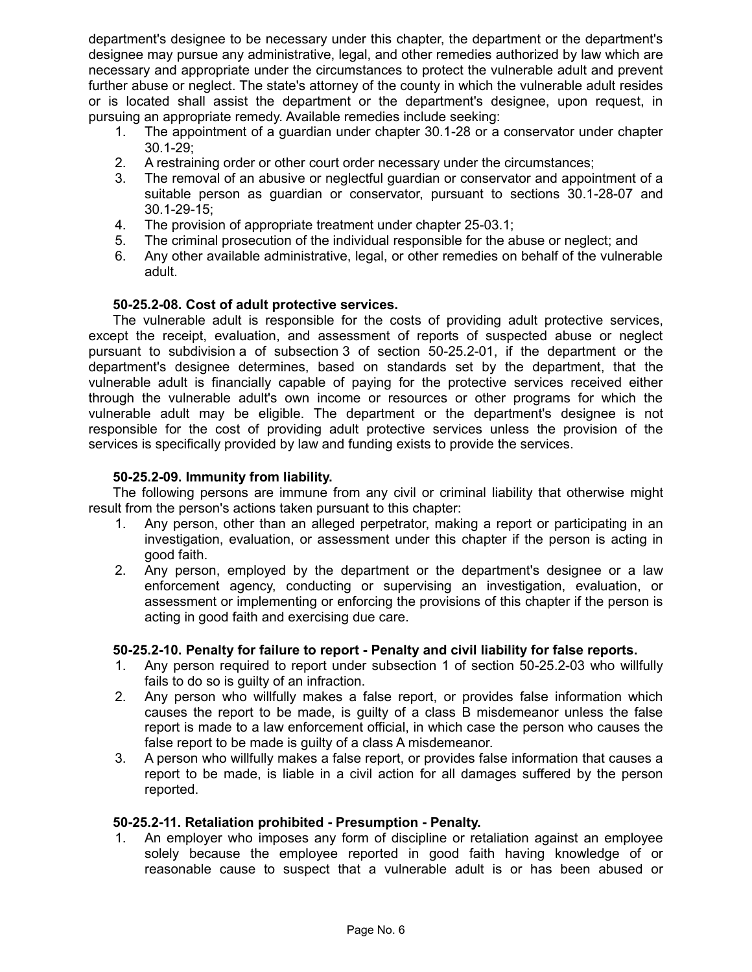department's designee to be necessary under this chapter, the department or the department's designee may pursue any administrative, legal, and other remedies authorized by law which are necessary and appropriate under the circumstances to protect the vulnerable adult and prevent further abuse or neglect. The state's attorney of the county in which the vulnerable adult resides or is located shall assist the department or the department's designee, upon request, in pursuing an appropriate remedy. Available remedies include seeking:

- 1. The appointment of a guardian under chapter 30.1-28 or a conservator under chapter 30.1-29;
- 2. A restraining order or other court order necessary under the circumstances;
- 3. The removal of an abusive or neglectful guardian or conservator and appointment of a suitable person as guardian or conservator, pursuant to sections 30.1-28-07 and 30.1-29-15;
- 4. The provision of appropriate treatment under chapter 25-03.1;
- 5. The criminal prosecution of the individual responsible for the abuse or neglect; and
- 6. Any other available administrative, legal, or other remedies on behalf of the vulnerable adult.

# **50-25.2-08. Cost of adult protective services.**

The vulnerable adult is responsible for the costs of providing adult protective services, except the receipt, evaluation, and assessment of reports of suspected abuse or neglect pursuant to subdivision a of subsection 3 of section 50-25.2-01, if the department or the department's designee determines, based on standards set by the department, that the vulnerable adult is financially capable of paying for the protective services received either through the vulnerable adult's own income or resources or other programs for which the vulnerable adult may be eligible. The department or the department's designee is not responsible for the cost of providing adult protective services unless the provision of the services is specifically provided by law and funding exists to provide the services.

# **50-25.2-09. Immunity from liability.**

The following persons are immune from any civil or criminal liability that otherwise might result from the person's actions taken pursuant to this chapter:

- 1. Any person, other than an alleged perpetrator, making a report or participating in an investigation, evaluation, or assessment under this chapter if the person is acting in good faith.
- 2. Any person, employed by the department or the department's designee or a law enforcement agency, conducting or supervising an investigation, evaluation, or assessment or implementing or enforcing the provisions of this chapter if the person is acting in good faith and exercising due care.

# **50-25.2-10. Penalty for failure to report - Penalty and civil liability for false reports.**

- 1. Any person required to report under subsection 1 of section 50-25.2-03 who willfully fails to do so is guilty of an infraction.
- 2. Any person who willfully makes a false report, or provides false information which causes the report to be made, is guilty of a class B misdemeanor unless the false report is made to a law enforcement official, in which case the person who causes the false report to be made is guilty of a class A misdemeanor.
- 3. A person who willfully makes a false report, or provides false information that causes a report to be made, is liable in a civil action for all damages suffered by the person reported.

### **50-25.2-11. Retaliation prohibited - Presumption - Penalty.**

1. An employer who imposes any form of discipline or retaliation against an employee solely because the employee reported in good faith having knowledge of or reasonable cause to suspect that a vulnerable adult is or has been abused or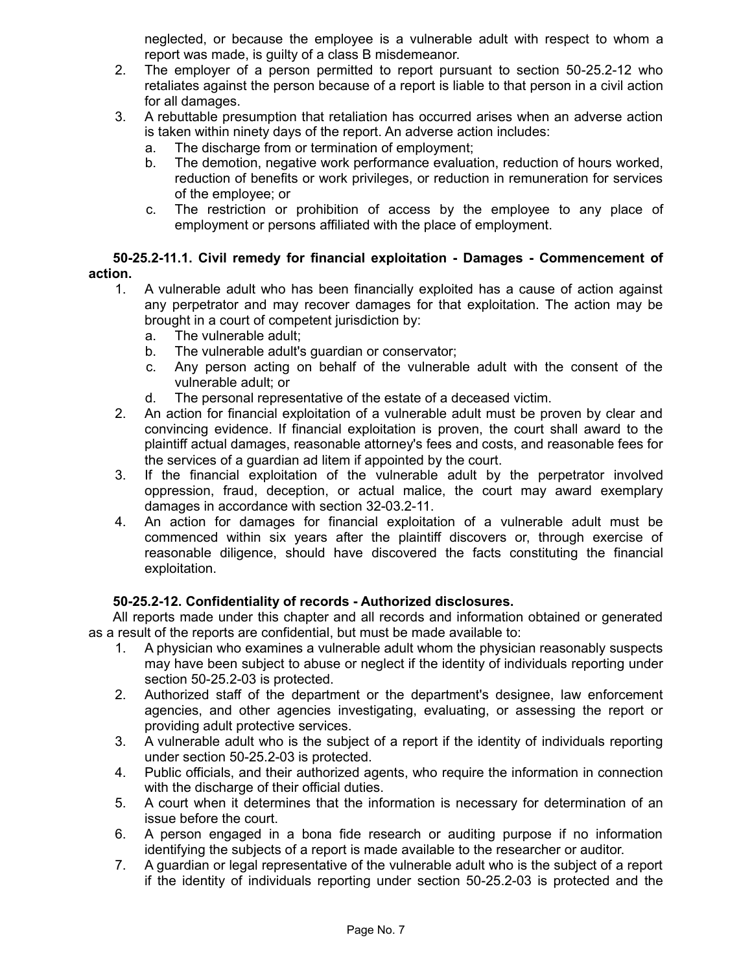neglected, or because the employee is a vulnerable adult with respect to whom a report was made, is guilty of a class B misdemeanor.

- 2. The employer of a person permitted to report pursuant to section 50-25.2-12 who retaliates against the person because of a report is liable to that person in a civil action for all damages.
- 3. A rebuttable presumption that retaliation has occurred arises when an adverse action is taken within ninety days of the report. An adverse action includes:
	- a. The discharge from or termination of employment;
	- b. The demotion, negative work performance evaluation, reduction of hours worked, reduction of benefits or work privileges, or reduction in remuneration for services of the employee; or
	- c. The restriction or prohibition of access by the employee to any place of employment or persons affiliated with the place of employment.

# **50-25.2-11.1. Civil remedy for financial exploitation - Damages - Commencement of action.**

- 1. A vulnerable adult who has been financially exploited has a cause of action against any perpetrator and may recover damages for that exploitation. The action may be brought in a court of competent jurisdiction by:
	- a. The vulnerable adult;
	- b. The vulnerable adult's guardian or conservator;
	- c. Any person acting on behalf of the vulnerable adult with the consent of the vulnerable adult; or
	- d. The personal representative of the estate of a deceased victim.
- 2. An action for financial exploitation of a vulnerable adult must be proven by clear and convincing evidence. If financial exploitation is proven, the court shall award to the plaintiff actual damages, reasonable attorney's fees and costs, and reasonable fees for the services of a guardian ad litem if appointed by the court.
- 3. If the financial exploitation of the vulnerable adult by the perpetrator involved oppression, fraud, deception, or actual malice, the court may award exemplary damages in accordance with section 32-03.2-11.
- 4. An action for damages for financial exploitation of a vulnerable adult must be commenced within six years after the plaintiff discovers or, through exercise of reasonable diligence, should have discovered the facts constituting the financial exploitation.

# **50-25.2-12. Confidentiality of records - Authorized disclosures.**

All reports made under this chapter and all records and information obtained or generated as a result of the reports are confidential, but must be made available to:

- 1. A physician who examines a vulnerable adult whom the physician reasonably suspects may have been subject to abuse or neglect if the identity of individuals reporting under section 50-25.2-03 is protected.
- 2. Authorized staff of the department or the department's designee, law enforcement agencies, and other agencies investigating, evaluating, or assessing the report or providing adult protective services.
- 3. A vulnerable adult who is the subject of a report if the identity of individuals reporting under section 50-25.2-03 is protected.
- 4. Public officials, and their authorized agents, who require the information in connection with the discharge of their official duties.
- 5. A court when it determines that the information is necessary for determination of an issue before the court.
- 6. A person engaged in a bona fide research or auditing purpose if no information identifying the subjects of a report is made available to the researcher or auditor.
- 7. A guardian or legal representative of the vulnerable adult who is the subject of a report if the identity of individuals reporting under section 50-25.2-03 is protected and the